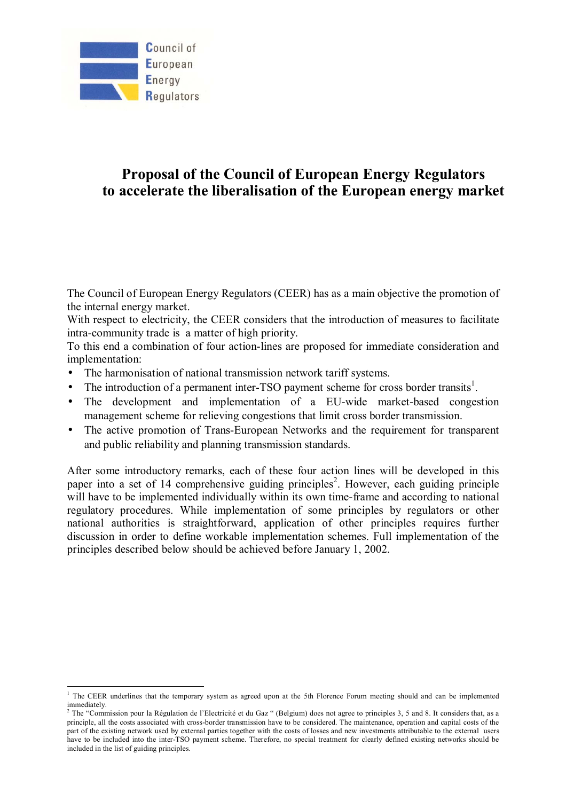

 $\overline{a}$ 

# **Proposal of the Council of European Energy Regulators to accelerate the liberalisation of the European energy market**

The Council of European Energy Regulators (CEER) has as a main objective the promotion of the internal energy market.

With respect to electricity, the CEER considers that the introduction of measures to facilitate intra-community trade is a matter of high priority.

To this end a combination of four action-lines are proposed for immediate consideration and implementation:

- The harmonisation of national transmission network tariff systems.
- The introduction of a permanent inter-TSO payment scheme for cross border transits<sup>1</sup>.
- The development and implementation of a EU-wide market-based congestion management scheme for relieving congestions that limit cross border transmission.
- The active promotion of Trans-European Networks and the requirement for transparent and public reliability and planning transmission standards.

After some introductory remarks, each of these four action lines will be developed in this paper into a set of 14 comprehensive guiding principles<sup>2</sup>. However, each guiding principle will have to be implemented individually within its own time-frame and according to national regulatory procedures. While implementation of some principles by regulators or other national authorities is straightforward, application of other principles requires further discussion in order to define workable implementation schemes. Full implementation of the principles described below should be achieved before January 1, 2002.

<sup>&</sup>lt;sup>1</sup> The CEER underlines that the temporary system as agreed upon at the 5th Florence Forum meeting should and can be implemented immediately.

<sup>&</sup>lt;sup>2</sup> The "Commission pour la Régulation de l'Electricité et du Gaz " (Belgium) does not agree to principles 3, 5 and 8. It considers that, as a principle, all the costs associated with cross-border transmission have to be considered. The maintenance, operation and capital costs of the part of the existing network used by external parties together with the costs of losses and new investments attributable to the external users have to be included into the inter-TSO payment scheme. Therefore, no special treatment for clearly defined existing networks should be included in the list of guiding principles.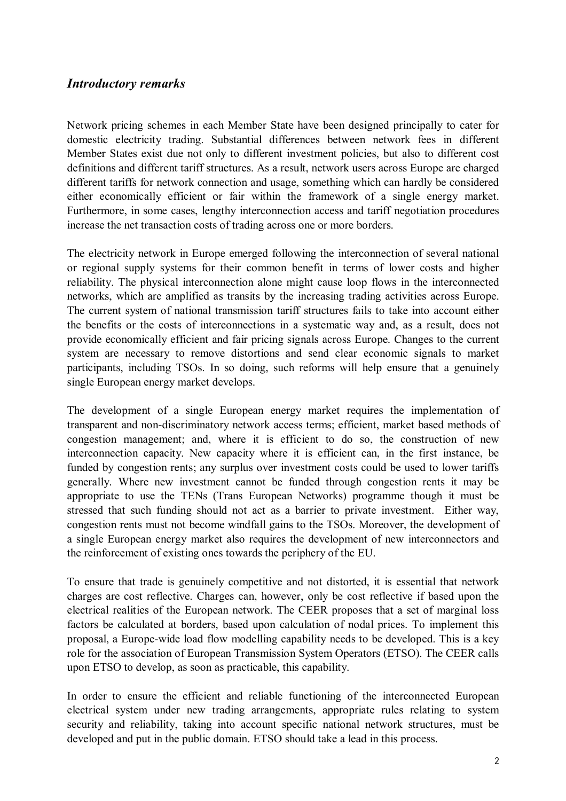### *Introductory remarks*

Network pricing schemes in each Member State have been designed principally to cater for domestic electricity trading. Substantial differences between network fees in different Member States exist due not only to different investment policies, but also to different cost definitions and different tariff structures. As a result, network users across Europe are charged different tariffs for network connection and usage, something which can hardly be considered either economically efficient or fair within the framework of a single energy market. Furthermore, in some cases, lengthy interconnection access and tariff negotiation procedures increase the net transaction costs of trading across one or more borders.

The electricity network in Europe emerged following the interconnection of several national or regional supply systems for their common benefit in terms of lower costs and higher reliability. The physical interconnection alone might cause loop flows in the interconnected networks, which are amplified as transits by the increasing trading activities across Europe. The current system of national transmission tariff structures fails to take into account either the benefits or the costs of interconnections in a systematic way and, as a result, does not provide economically efficient and fair pricing signals across Europe. Changes to the current system are necessary to remove distortions and send clear economic signals to market participants, including TSOs. In so doing, such reforms will help ensure that a genuinely single European energy market develops.

The development of a single European energy market requires the implementation of transparent and non-discriminatory network access terms; efficient, market based methods of congestion management; and, where it is efficient to do so, the construction of new interconnection capacity. New capacity where it is efficient can, in the first instance, be funded by congestion rents; any surplus over investment costs could be used to lower tariffs generally. Where new investment cannot be funded through congestion rents it may be appropriate to use the TENs (Trans European Networks) programme though it must be stressed that such funding should not act as a barrier to private investment. Either way, congestion rents must not become windfall gains to the TSOs. Moreover, the development of a single European energy market also requires the development of new interconnectors and the reinforcement of existing ones towards the periphery of the EU.

To ensure that trade is genuinely competitive and not distorted, it is essential that network charges are cost reflective. Charges can, however, only be cost reflective if based upon the electrical realities of the European network. The CEER proposes that a set of marginal loss factors be calculated at borders, based upon calculation of nodal prices. To implement this proposal, a Europe-wide load flow modelling capability needs to be developed. This is a key role for the association of European Transmission System Operators (ETSO). The CEER calls upon ETSO to develop, as soon as practicable, this capability.

In order to ensure the efficient and reliable functioning of the interconnected European electrical system under new trading arrangements, appropriate rules relating to system security and reliability, taking into account specific national network structures, must be developed and put in the public domain. ETSO should take a lead in this process.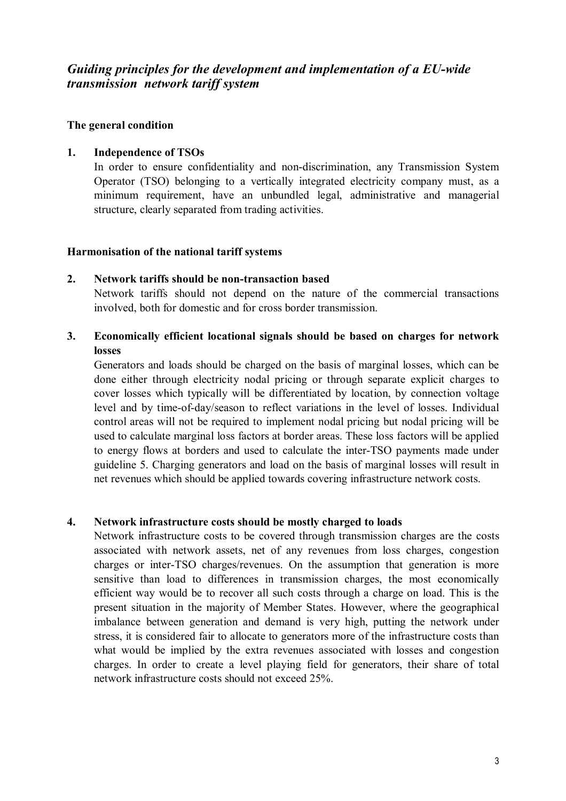## *Guiding principles for the development and implementation of a EU-wide transmission network tariff system*

### **The general condition**

### **1. Independence of TSOs**

In order to ensure confidentiality and non-discrimination, any Transmission System Operator (TSO) belonging to a vertically integrated electricity company must, as a minimum requirement, have an unbundled legal, administrative and managerial structure, clearly separated from trading activities.

### **Harmonisation of the national tariff systems**

### **2. Network tariffs should be non-transaction based**

Network tariffs should not depend on the nature of the commercial transactions involved, both for domestic and for cross border transmission.

### **3. Economically efficient locational signals should be based on charges for network losses**

Generators and loads should be charged on the basis of marginal losses, which can be done either through electricity nodal pricing or through separate explicit charges to cover losses which typically will be differentiated by location, by connection voltage level and by time-of-day/season to reflect variations in the level of losses. Individual control areas will not be required to implement nodal pricing but nodal pricing will be used to calculate marginal loss factors at border areas. These loss factors will be applied to energy flows at borders and used to calculate the inter-TSO payments made under guideline 5. Charging generators and load on the basis of marginal losses will result in net revenues which should be applied towards covering infrastructure network costs.

### **4. Network infrastructure costs should be mostly charged to loads**

Network infrastructure costs to be covered through transmission charges are the costs associated with network assets, net of any revenues from loss charges, congestion charges or inter-TSO charges/revenues. On the assumption that generation is more sensitive than load to differences in transmission charges, the most economically efficient way would be to recover all such costs through a charge on load. This is the present situation in the majority of Member States. However, where the geographical imbalance between generation and demand is very high, putting the network under stress, it is considered fair to allocate to generators more of the infrastructure costs than what would be implied by the extra revenues associated with losses and congestion charges. In order to create a level playing field for generators, their share of total network infrastructure costs should not exceed 25%.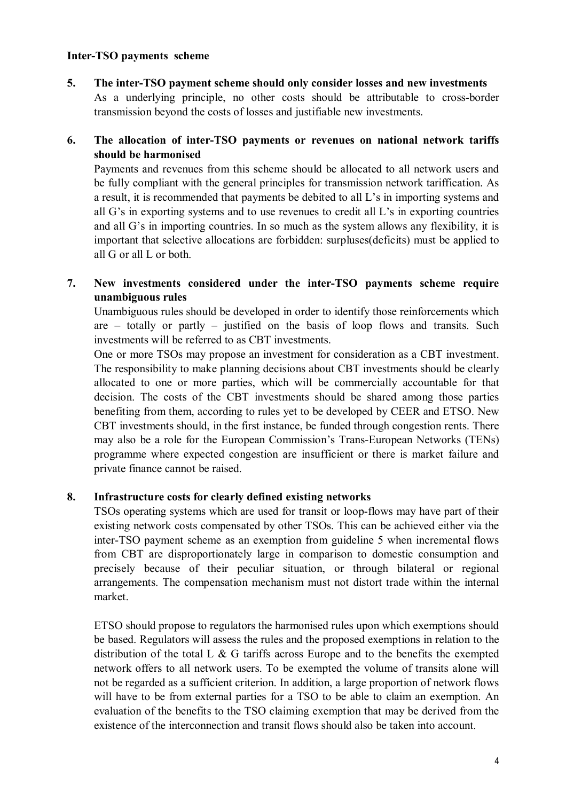### **Inter-TSO payments scheme**

**5. The inter-TSO payment scheme should only consider losses and new investments**  As a underlying principle, no other costs should be attributable to cross-border transmission beyond the costs of losses and justifiable new investments.

### **6. The allocation of inter-TSO payments or revenues on national network tariffs should be harmonised**

Payments and revenues from this scheme should be allocated to all network users and be fully compliant with the general principles for transmission network tariffication. As a result, it is recommended that payments be debited to all L's in importing systems and all  $G$ 's in exporting systems and to use revenues to credit all  $L$ 's in exporting countries and all G's in importing countries. In so much as the system allows any flexibility, it is important that selective allocations are forbidden: surpluses(deficits) must be applied to all G or all L or both.

### **7. New investments considered under the inter-TSO payments scheme require unambiguous rules**

Unambiguous rules should be developed in order to identify those reinforcements which are  $-$  totally or partly  $-$  justified on the basis of loop flows and transits. Such investments will be referred to as CBT investments.

One or more TSOs may propose an investment for consideration as a CBT investment. The responsibility to make planning decisions about CBT investments should be clearly allocated to one or more parties, which will be commercially accountable for that decision. The costs of the CBT investments should be shared among those parties benefiting from them, according to rules yet to be developed by CEER and ETSO. New CBT investments should, in the first instance, be funded through congestion rents. There may also be a role for the European Commission's Trans-European Networks (TENs) programme where expected congestion are insufficient or there is market failure and private finance cannot be raised.

### **8. Infrastructure costs for clearly defined existing networks**

TSOs operating systems which are used for transit or loop-flows may have part of their existing network costs compensated by other TSOs. This can be achieved either via the inter-TSO payment scheme as an exemption from guideline 5 when incremental flows from CBT are disproportionately large in comparison to domestic consumption and precisely because of their peculiar situation, or through bilateral or regional arrangements. The compensation mechanism must not distort trade within the internal market.

ETSO should propose to regulators the harmonised rules upon which exemptions should be based. Regulators will assess the rules and the proposed exemptions in relation to the distribution of the total L  $\&$  G tariffs across Europe and to the benefits the exempted network offers to all network users. To be exempted the volume of transits alone will not be regarded as a sufficient criterion. In addition, a large proportion of network flows will have to be from external parties for a TSO to be able to claim an exemption. An evaluation of the benefits to the TSO claiming exemption that may be derived from the existence of the interconnection and transit flows should also be taken into account.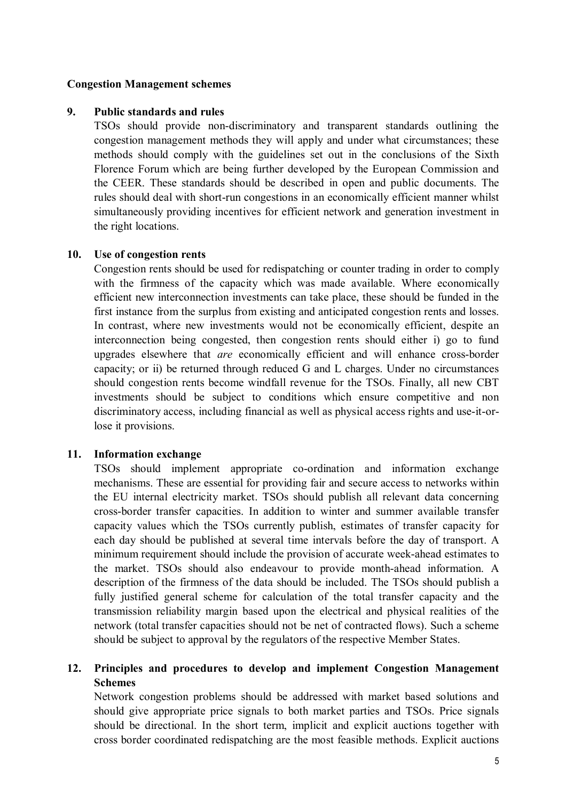#### **Congestion Management schemes**

### **9. Public standards and rules**

TSOs should provide non-discriminatory and transparent standards outlining the congestion management methods they will apply and under what circumstances; these methods should comply with the guidelines set out in the conclusions of the Sixth Florence Forum which are being further developed by the European Commission and the CEER. These standards should be described in open and public documents. The rules should deal with short-run congestions in an economically efficient manner whilst simultaneously providing incentives for efficient network and generation investment in the right locations.

### **10. Use of congestion rents**

 Congestion rents should be used for redispatching or counter trading in order to comply with the firmness of the capacity which was made available. Where economically efficient new interconnection investments can take place, these should be funded in the first instance from the surplus from existing and anticipated congestion rents and losses. In contrast, where new investments would not be economically efficient, despite an interconnection being congested, then congestion rents should either i) go to fund upgrades elsewhere that *are* economically efficient and will enhance cross-border capacity; or ii) be returned through reduced G and L charges. Under no circumstances should congestion rents become windfall revenue for the TSOs. Finally, all new CBT investments should be subject to conditions which ensure competitive and non discriminatory access, including financial as well as physical access rights and use-it-orlose it provisions.

### **11. Information exchange**

 TSOs should implement appropriate co-ordination and information exchange mechanisms. These are essential for providing fair and secure access to networks within the EU internal electricity market. TSOs should publish all relevant data concerning cross-border transfer capacities. In addition to winter and summer available transfer capacity values which the TSOs currently publish, estimates of transfer capacity for each day should be published at several time intervals before the day of transport. A minimum requirement should include the provision of accurate week-ahead estimates to the market. TSOs should also endeavour to provide month-ahead information. A description of the firmness of the data should be included. The TSOs should publish a fully justified general scheme for calculation of the total transfer capacity and the transmission reliability margin based upon the electrical and physical realities of the network (total transfer capacities should not be net of contracted flows). Such a scheme should be subject to approval by the regulators of the respective Member States.

### **12. Principles and procedures to develop and implement Congestion Management Schemes**

Network congestion problems should be addressed with market based solutions and should give appropriate price signals to both market parties and TSOs. Price signals should be directional. In the short term, implicit and explicit auctions together with cross border coordinated redispatching are the most feasible methods. Explicit auctions